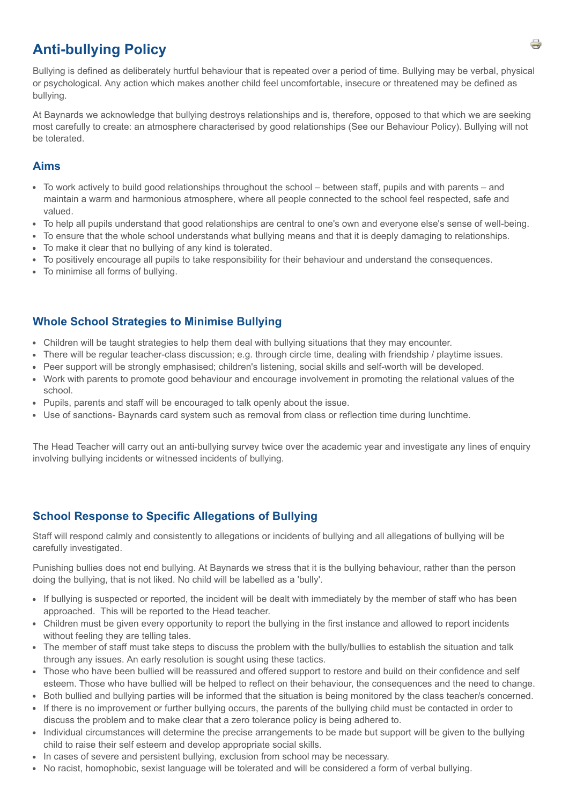# **Anti-bullying Policy**

Bullying is defined as deliberately hurtful behaviour that is repeated over a period of time. Bullying may be verbal, physical or psychological. Any action which makes another child feel uncomfortable, insecure or threatened may be defined as bullying.

At Baynards we acknowledge that bullying destroys relationships and is, therefore, opposed to that which we are seeking most carefully to create: an atmosphere characterised by good relationships (See our Behaviour Policy). Bullying will not be tolerated.

#### **Aims**

- To work actively to build good relationships throughout the school between staff, pupils and with parents and maintain a warm and harmonious atmosphere, where all people connected to the school feel respected, safe and valued.
- To help all pupils understand that good relationships are central to one's own and everyone else's sense of well-being.
- To ensure that the whole school understands what bullying means and that it is deeply damaging to relationships.
- To make it clear that no bullying of any kind is tolerated.
- To positively encourage all pupils to take responsibility for their behaviour and understand the consequences.
- To minimise all forms of bullying.

### **Whole School Strategies to Minimise Bullying**

- Children will be taught strategies to help them deal with bullying situations that they may encounter.
- There will be regular teacher-class discussion; e.g. through circle time, dealing with friendship / playtime issues.
- Peer support will be strongly emphasised; children's listening, social skills and self-worth will be developed.
- Work with parents to promote good behaviour and encourage involvement in promoting the relational values of the school.
- Pupils, parents and staff will be encouraged to talk openly about the issue.
- Use of sanctions- Baynards card system such as removal from class or reflection time during lunchtime.

The Head Teacher will carry out an anti-bullying survey twice over the academic year and investigate any lines of enquiry involving bullying incidents or witnessed incidents of bullying.

### **School Response to Specific Allegations of Bullying**

Staff will respond calmly and consistently to allegations or incidents of bullying and all allegations of bullying will be carefully investigated.

Punishing bullies does not end bullying. At Baynards we stress that it is the bullying behaviour, rather than the person doing the bullying, that is not liked. No child will be labelled as a 'bully'.

- If bullying is suspected or reported, the incident will be dealt with immediately by the member of staff who has been approached. This will be reported to the Head teacher.
- Children must be given every opportunity to report the bullying in the first instance and allowed to report incidents without feeling they are telling tales.
- The member of staff must take steps to discuss the problem with the bully/bullies to establish the situation and talk through any issues. An early resolution is sought using these tactics.
- Those who have been bullied will be reassured and offered support to restore and build on their confidence and self esteem. Those who have bullied will be helped to reflect on their behaviour, the consequences and the need to change.
- Both bullied and bullying parties will be informed that the situation is being monitored by the class teacher/s concerned.
- If there is no improvement or further bullying occurs, the parents of the bullying child must be contacted in order to discuss the problem and to make clear that a zero tolerance policy is being adhered to.
- Individual circumstances will determine the precise arrangements to be made but support will be given to the bullying child to raise their self esteem and develop appropriate social skills.
- In cases of severe and persistent bullying, exclusion from school may be necessary.
- No racist, homophobic, sexist language will be tolerated and will be considered a form of verbal bullying.